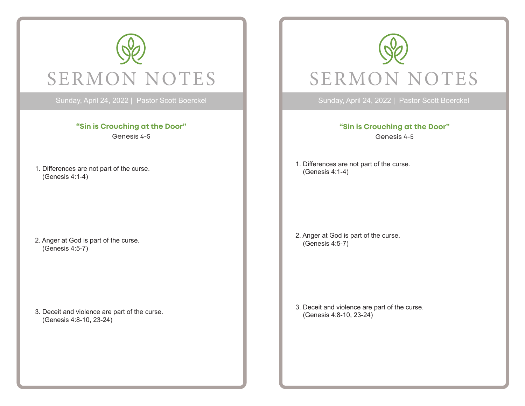

Sunday, April 24, 2022 | Pastor Scott Boerckel

## **"Sin is Crouching at the Door"**

Genesis 4-5

1. Differences are not part of the curse. (Genesis 4:1-4)

2. Anger at God is part of the curse. (Genesis 4:5-7)

3. Deceit and violence are part of the curse. (Genesis 4:8-10, 23-24)